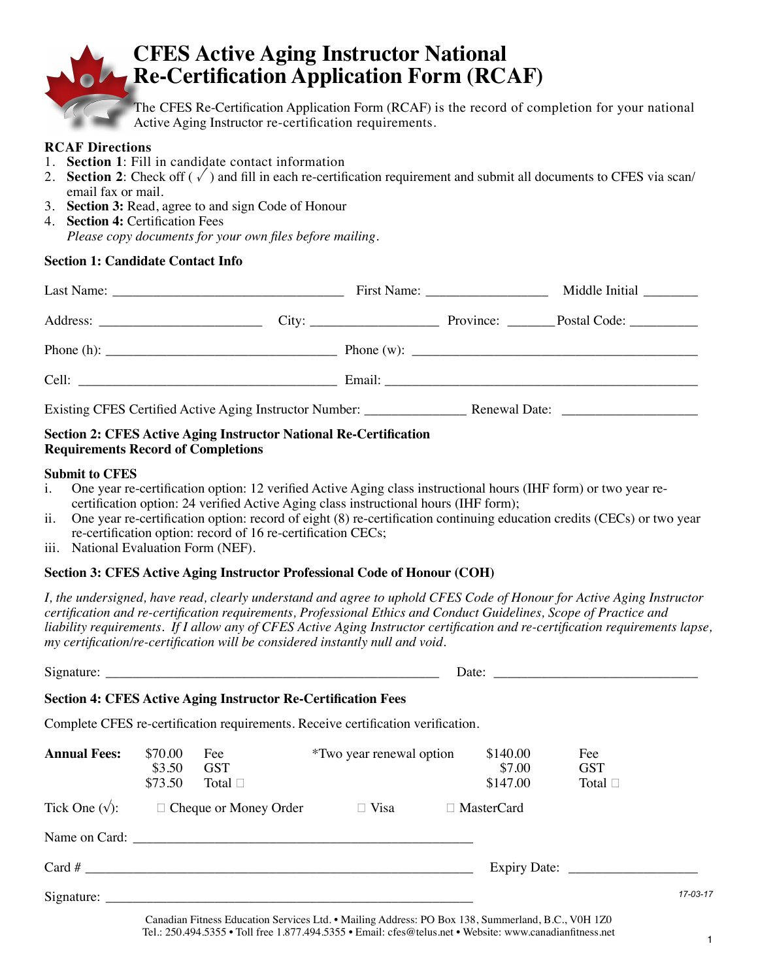

# **CFES Active Aging Instructor National Re-Certification Application Form (RCAF)**

The CFES Re-Certification Application Form (RCAF) is the record of completion for your national Active Aging Instructor re-certification requirements.

#### **RCAF Directions**

- 1. **Section 1**: Fill in candidate contact information
- 2. **Section 2**: Check off  $(\sqrt{\ })$  and fill in each re-certification requirement and submit all documents to CFES via scan/ email fax or mail.
- 3. **Section 3:** Read, agree to and sign Code of Honour
- 4. **Section 4:** Certification Fees *Please copy documents for your own files before mailing.*

#### **Section 1: Candidate Contact Info**

|  | Middle Initial _________ |  |
|--|--------------------------|--|
|  | Province: Postal Code:   |  |
|  |                          |  |
|  |                          |  |
|  |                          |  |

#### **Section 2: CFES Active Aging Instructor National Re-Certification Requirements Record of Completions**

#### **Submit to CFES**

- i. One year re-certification option: 12 verified Active Aging class instructional hours (IHF form) or two year recertification option: 24 verified Active Aging class instructional hours (IHF form);
- ii. One year re-certification option: record of eight (8) re-certification continuing education credits (CECs) or two year re-certification option: record of 16 re-certification CECs;
- iii. National Evaluation Form (NEF).

#### **Section 3: CFES Active Aging Instructor Professional Code of Honour (COH)**

*I, the undersigned, have read, clearly understand and agree to uphold CFES Code of Honour for Active Aging Instructor certification and re-certification requirements, Professional Ethics and Conduct Guidelines, Scope of Practice and liability requirements. If I allow any of CFES Active Aging Instructor certification and re-certification requirements lapse, my certification/re-certification will be considered instantly null and void.* 

|                     |                              | <b>Section 4: CFES Active Aging Instructor Re-Certification Fees</b> |                                                                                             |  |                                |                                   |          |
|---------------------|------------------------------|----------------------------------------------------------------------|---------------------------------------------------------------------------------------------|--|--------------------------------|-----------------------------------|----------|
|                     |                              |                                                                      | Complete CFES re-certification requirements. Receive certification verification.            |  |                                |                                   |          |
| <b>Annual Fees:</b> | \$70.00<br>\$3.50<br>\$73.50 | Fee<br><b>GST</b><br>Total $\square$                                 | <i>*Two year renewal option</i>                                                             |  | \$140.00<br>\$7.00<br>\$147.00 | Fee<br><b>GST</b><br>Total $\Box$ |          |
|                     |                              |                                                                      | Tick One $(\sqrt{\ }):$ $\square$ Cheque or Money Order $\square$ Visa $\square$ MasterCard |  |                                |                                   |          |
|                     |                              |                                                                      |                                                                                             |  |                                |                                   |          |
|                     |                              |                                                                      |                                                                                             |  |                                |                                   |          |
|                     |                              |                                                                      |                                                                                             |  |                                |                                   | 17-03-17 |
|                     |                              |                                                                      |                                                                                             |  |                                |                                   |          |

Canadian Fitness Education Services Ltd. • Mailing Address: PO Box 138, Summerland, B.C., V0H 1Z0 Tel.: 250.494.5355 • Toll free 1.877.494.5355 • Email: cfes@telus.net • Website: www.canadianfitness.net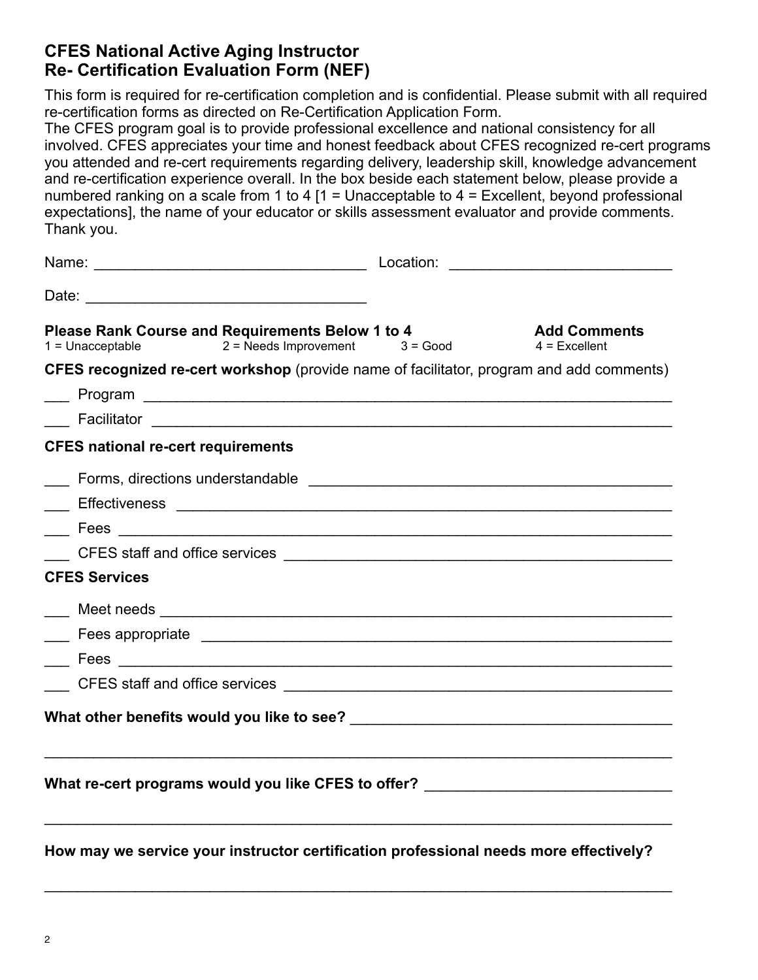## **CFES National Active Aging Instructor Re- Certification Evaluation Form (NEF)**

This form is required for re-certification completion and is confidential. Please submit with all required re-certification forms as directed on Re-Certification Application Form.

The CFES program goal is to provide professional excellence and national consistency for all involved. CFES appreciates your time and honest feedback about CFES recognized re-cert programs you attended and re-cert requirements regarding delivery, leadership skill, knowledge advancement and re-certification experience overall. In the box beside each statement below, please provide a numbered ranking on a scale from 1 to 4  $[1 =$  Unacceptable to 4 = Excellent, beyond professional expectations], the name of your educator or skills assessment evaluator and provide comments. Thank you.

| Name: Name: Name: Name: Name: Name: Name: Name: Name: Name: Name: Name: Name: Name: Name: Name: Name: Name: Name: Name: Name: Name: Name: Name: Name: Name: Name: Name: Name: Name: Name: Name: Name: Name: Name: Name: Name:       |  |                                 |  |  |  |
|-------------------------------------------------------------------------------------------------------------------------------------------------------------------------------------------------------------------------------------|--|---------------------------------|--|--|--|
|                                                                                                                                                                                                                                     |  |                                 |  |  |  |
| Please Rank Course and Requirements Below 1 to 4<br><b>Please Rank Course and Requirements Below 1 to 4</b><br>1 = Unacceptable 2 = Needs Improvement 3 = Good                                                                      |  | Add Comments<br>$4$ = Excellent |  |  |  |
| CFES recognized re-cert workshop (provide name of facilitator, program and add comments)                                                                                                                                            |  |                                 |  |  |  |
|                                                                                                                                                                                                                                     |  |                                 |  |  |  |
|                                                                                                                                                                                                                                     |  |                                 |  |  |  |
| <b>CFES national re-cert requirements</b>                                                                                                                                                                                           |  |                                 |  |  |  |
| $\mathcal{L}^{\mathcal{L}}$                                                                                                                                                                                                         |  |                                 |  |  |  |
| Effectiveness entertainment and the contract of the contract of the contract of the contract of the contract of                                                                                                                     |  |                                 |  |  |  |
|                                                                                                                                                                                                                                     |  |                                 |  |  |  |
|                                                                                                                                                                                                                                     |  |                                 |  |  |  |
| <b>CFES Services</b>                                                                                                                                                                                                                |  |                                 |  |  |  |
|                                                                                                                                                                                                                                     |  |                                 |  |  |  |
|                                                                                                                                                                                                                                     |  |                                 |  |  |  |
|                                                                                                                                                                                                                                     |  |                                 |  |  |  |
| CFES staff and office services <u>example and a service</u> of the service of the service of the service of the service of the service of the service of the service of the service of the service of the service of the service of |  |                                 |  |  |  |
|                                                                                                                                                                                                                                     |  |                                 |  |  |  |
|                                                                                                                                                                                                                                     |  |                                 |  |  |  |
| What re-cert programs would you like CFES to offer? ____________________________                                                                                                                                                    |  |                                 |  |  |  |
|                                                                                                                                                                                                                                     |  |                                 |  |  |  |
|                                                                                                                                                                                                                                     |  |                                 |  |  |  |

**How may we service your instructor certification professional needs more effectively?** 

 $\mathcal{L}_\text{max} = \frac{1}{2} \sum_{i=1}^{n} \frac{1}{2} \sum_{i=1}^{n} \frac{1}{2} \sum_{i=1}^{n} \frac{1}{2} \sum_{i=1}^{n} \frac{1}{2} \sum_{i=1}^{n} \frac{1}{2} \sum_{i=1}^{n} \frac{1}{2} \sum_{i=1}^{n} \frac{1}{2} \sum_{i=1}^{n} \frac{1}{2} \sum_{i=1}^{n} \frac{1}{2} \sum_{i=1}^{n} \frac{1}{2} \sum_{i=1}^{n} \frac{1}{2} \sum_{i=1}^{n} \frac{1$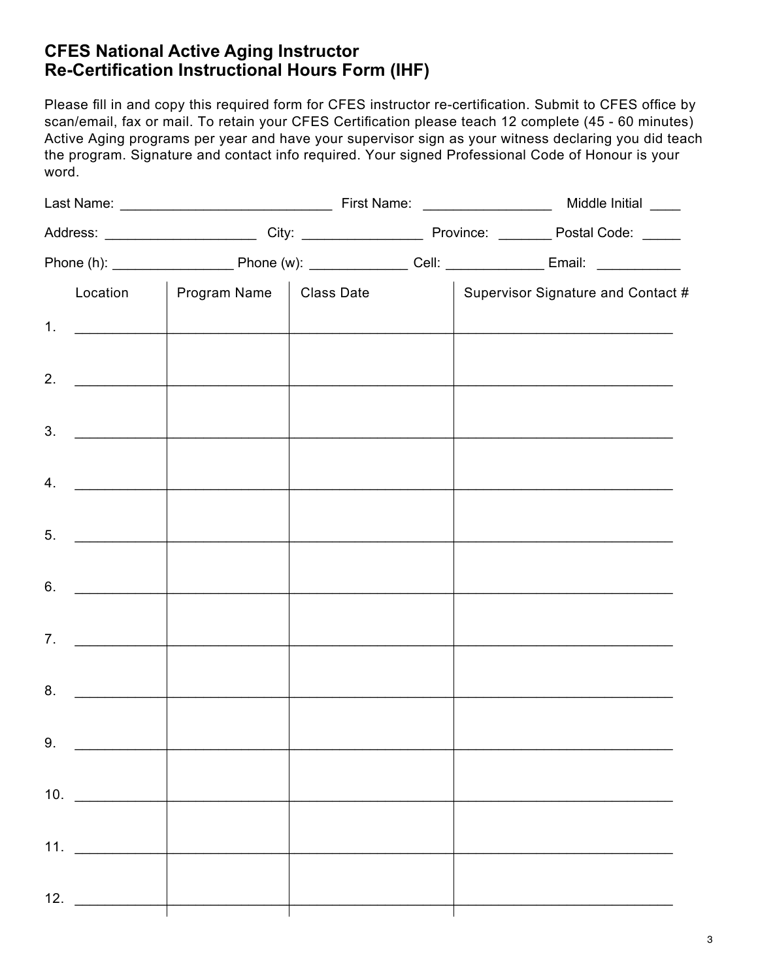## **CFES National Active Aging Instructor Re-Certification Instructional Hours Form (IHF)**

Please fill in and copy this required form for CFES instructor re-certification. Submit to CFES office by scan/email, fax or mail. To retain your CFES Certification please teach 12 complete (45 - 60 minutes) Active Aging programs per year and have your supervisor sign as your witness declaring you did teach the program. Signature and contact info required. Your signed Professional Code of Honour is your word.

|    |                      | Location   Program Name   Class Date                 |  |  | Supervisor Signature and Contact #                                                                                                                                                                                            |  |
|----|----------------------|------------------------------------------------------|--|--|-------------------------------------------------------------------------------------------------------------------------------------------------------------------------------------------------------------------------------|--|
|    |                      | 1. $\qquad \qquad$                                   |  |  | the control of the control of the control of the control of the control of the control of                                                                                                                                     |  |
|    | 2. $\qquad \qquad$   | <u> 1989 - Johann Barbara, martin a shekara 1989</u> |  |  |                                                                                                                                                                                                                               |  |
|    | 3.                   |                                                      |  |  |                                                                                                                                                                                                                               |  |
|    | 4.                   | <u> 1990 - Johann Barbara, martin a bhaile an t-</u> |  |  |                                                                                                                                                                                                                               |  |
|    | $5.$ $\qquad \qquad$ |                                                      |  |  |                                                                                                                                                                                                                               |  |
|    |                      |                                                      |  |  |                                                                                                                                                                                                                               |  |
|    | 6.                   | the control of the control of the control of the     |  |  | the control of the control of the control of the control of the control of the control of the control of the control of the control of the control of the control of the control of the control of the control of the control |  |
|    | 7.                   |                                                      |  |  |                                                                                                                                                                                                                               |  |
|    |                      |                                                      |  |  | the control of the control of the control of the control of the control of the control of the control of the control of the control of the control of the control of the control of the control of the control of the control |  |
| 9. |                      |                                                      |  |  |                                                                                                                                                                                                                               |  |
|    | 10.                  |                                                      |  |  |                                                                                                                                                                                                                               |  |
|    | 11. $\frac{1}{2}$    |                                                      |  |  |                                                                                                                                                                                                                               |  |
|    |                      |                                                      |  |  |                                                                                                                                                                                                                               |  |
|    |                      |                                                      |  |  |                                                                                                                                                                                                                               |  |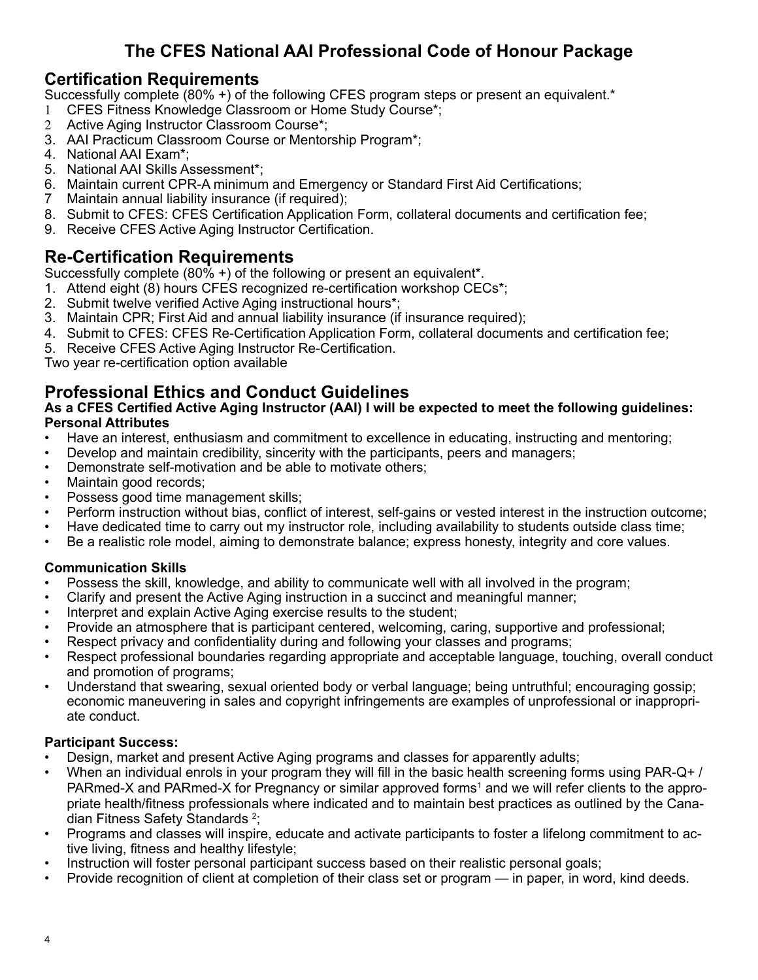## **The CFES National AAI Professional Code of Honour Package**

### **Certification Requirements**

Successfully complete (80% +) of the following CFES program steps or present an equivalent.\*

- 1 CFES Fitness Knowledge Classroom or Home Study Course\*;
- 2 Active Aging Instructor Classroom Course\*;
- 3. AAI Practicum Classroom Course or Mentorship Program\*;
- 4. National AAI Exam\*;
- 5. National AAI Skills Assessment\*;
- 6. Maintain current CPR-A minimum and Emergency or Standard First Aid Certifications;
- 7 Maintain annual liability insurance (if required);
- 8. Submit to CFES: CFES Certification Application Form, collateral documents and certification fee;
- 9. Receive CFES Active Aging Instructor Certification.

## **Re-Certification Requirements**

Successfully complete (80% +) of the following or present an equivalent\*.

- 1. Attend eight (8) hours CFES recognized re-certification workshop CECs\*;
- 2. Submit twelve verified Active Aging instructional hours\*;
- 3. Maintain CPR; First Aid and annual liability insurance (if insurance required);
- 4. Submit to CFES: CFES Re-Certification Application Form, collateral documents and certification fee;
- 5. Receive CFES Active Aging Instructor Re-Certification.

Two year re-certification option available

## **Professional Ethics and Conduct Guidelines**

#### **As a CFES Certified Active Aging Instructor (AAI) I will be expected to meet the following guidelines: Personal Attributes**

- Have an interest, enthusiasm and commitment to excellence in educating, instructing and mentoring;
- Develop and maintain credibility, sincerity with the participants, peers and managers;
- Demonstrate self-motivation and be able to motivate others;
- Maintain good records;
- Possess good time management skills;
- Perform instruction without bias, conflict of interest, self-gains or vested interest in the instruction outcome;
- Have dedicated time to carry out my instructor role, including availability to students outside class time;
- Be a realistic role model, aiming to demonstrate balance; express honesty, integrity and core values.

### **Communication Skills**

- Possess the skill, knowledge, and ability to communicate well with all involved in the program;
- Clarify and present the Active Aging instruction in a succinct and meaningful manner;
- Interpret and explain Active Aging exercise results to the student;
- Provide an atmosphere that is participant centered, welcoming, caring, supportive and professional;
- Respect privacy and confidentiality during and following your classes and programs;
- Respect professional boundaries regarding appropriate and acceptable language, touching, overall conduct and promotion of programs;
- Understand that swearing, sexual oriented body or verbal language; being untruthful; encouraging gossip; economic maneuvering in sales and copyright infringements are examples of unprofessional or inappropriate conduct.

### **Participant Success:**

- Design, market and present Active Aging programs and classes for apparently adults;
- When an individual enrols in your program they will fill in the basic health screening forms using PAR-Q+ / PARmed-X and PARmed-X for Pregnancy or similar approved forms<sup>1</sup> and we will refer clients to the appropriate health/fitness professionals where indicated and to maintain best practices as outlined by the Canadian Fitness Safety Standards <sup>2</sup>;
- Programs and classes will inspire, educate and activate participants to foster a lifelong commitment to active living, fitness and healthy lifestyle;
- Instruction will foster personal participant success based on their realistic personal goals;
- Provide recognition of client at completion of their class set or program in paper, in word, kind deeds.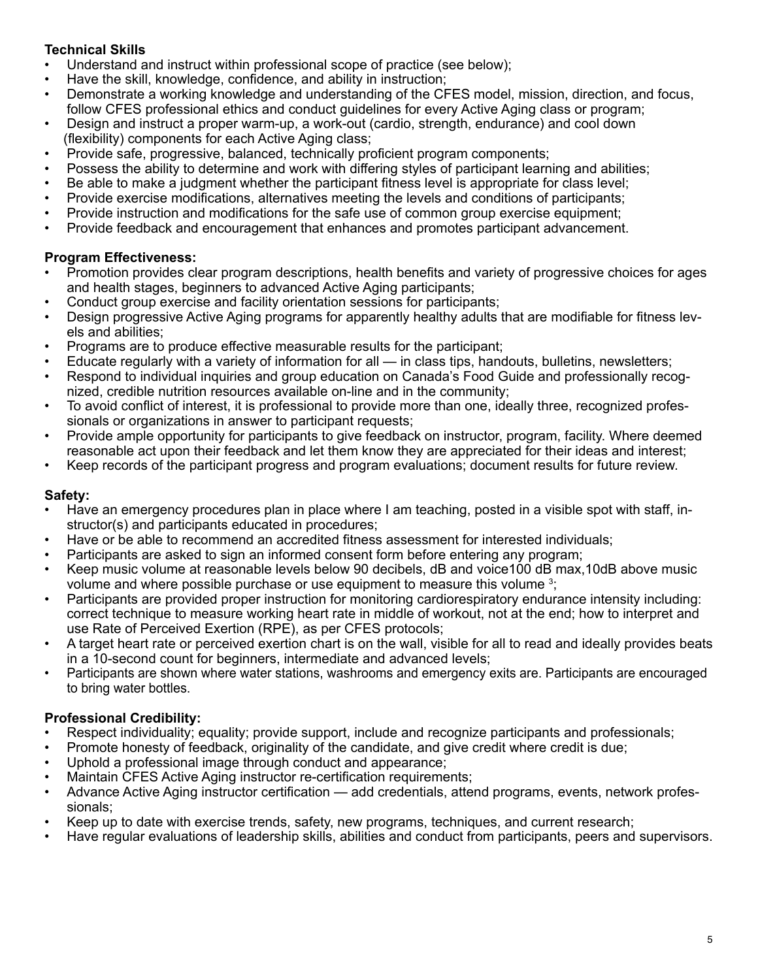### **Technical Skills**

- Understand and instruct within professional scope of practice (see below);
- Have the skill, knowledge, confidence, and ability in instruction;
- Demonstrate a working knowledge and understanding of the CFES model, mission, direction, and focus, follow CFES professional ethics and conduct guidelines for every Active Aging class or program;
- Design and instruct a proper warm-up, a work-out (cardio, strength, endurance) and cool down (flexibility) components for each Active Aging class;
- Provide safe, progressive, balanced, technically proficient program components;
- Possess the ability to determine and work with differing styles of participant learning and abilities;
- Be able to make a judgment whether the participant fitness level is appropriate for class level;
- Provide exercise modifications, alternatives meeting the levels and conditions of participants;
- Provide instruction and modifications for the safe use of common group exercise equipment;
- Provide feedback and encouragement that enhances and promotes participant advancement.

### **Program Effectiveness:**

- Promotion provides clear program descriptions, health benefits and variety of progressive choices for ages and health stages, beginners to advanced Active Aging participants;
- Conduct group exercise and facility orientation sessions for participants;
- Design progressive Active Aging programs for apparently healthy adults that are modifiable for fitness levels and abilities;
- Programs are to produce effective measurable results for the participant;
- Educate regularly with a variety of information for all in class tips, handouts, bulletins, newsletters;
- Respond to individual inquiries and group education on Canada's Food Guide and professionally recognized, credible nutrition resources available on-line and in the community;
- To avoid conflict of interest, it is professional to provide more than one, ideally three, recognized professionals or organizations in answer to participant requests;
- Provide ample opportunity for participants to give feedback on instructor, program, facility. Where deemed reasonable act upon their feedback and let them know they are appreciated for their ideas and interest;
- Keep records of the participant progress and program evaluations; document results for future review.

### **Safety:**

- Have an emergency procedures plan in place where I am teaching, posted in a visible spot with staff, instructor(s) and participants educated in procedures;
- Have or be able to recommend an accredited fitness assessment for interested individuals;
- Participants are asked to sign an informed consent form before entering any program;
- Keep music volume at reasonable levels below 90 decibels, dB and voice100 dB max,10dB above music volume and where possible purchase or use equipment to measure this volume <sup>3</sup>;
- Participants are provided proper instruction for monitoring cardiorespiratory endurance intensity including: correct technique to measure working heart rate in middle of workout, not at the end; how to interpret and use Rate of Perceived Exertion (RPE), as per CFES protocols;
- A target heart rate or perceived exertion chart is on the wall, visible for all to read and ideally provides beats in a 10-second count for beginners, intermediate and advanced levels;
- Participants are shown where water stations, washrooms and emergency exits are. Participants are encouraged to bring water bottles.

### **Professional Credibility:**

- Respect individuality; equality; provide support, include and recognize participants and professionals;
- Promote honesty of feedback, originality of the candidate, and give credit where credit is due;
- Uphold a professional image through conduct and appearance;
- Maintain CFES Active Aging instructor re-certification requirements;
- Advance Active Aging instructor certification add credentials, attend programs, events, network professionals;
- Keep up to date with exercise trends, safety, new programs, techniques, and current research;
- Have regular evaluations of leadership skills, abilities and conduct from participants, peers and supervisors.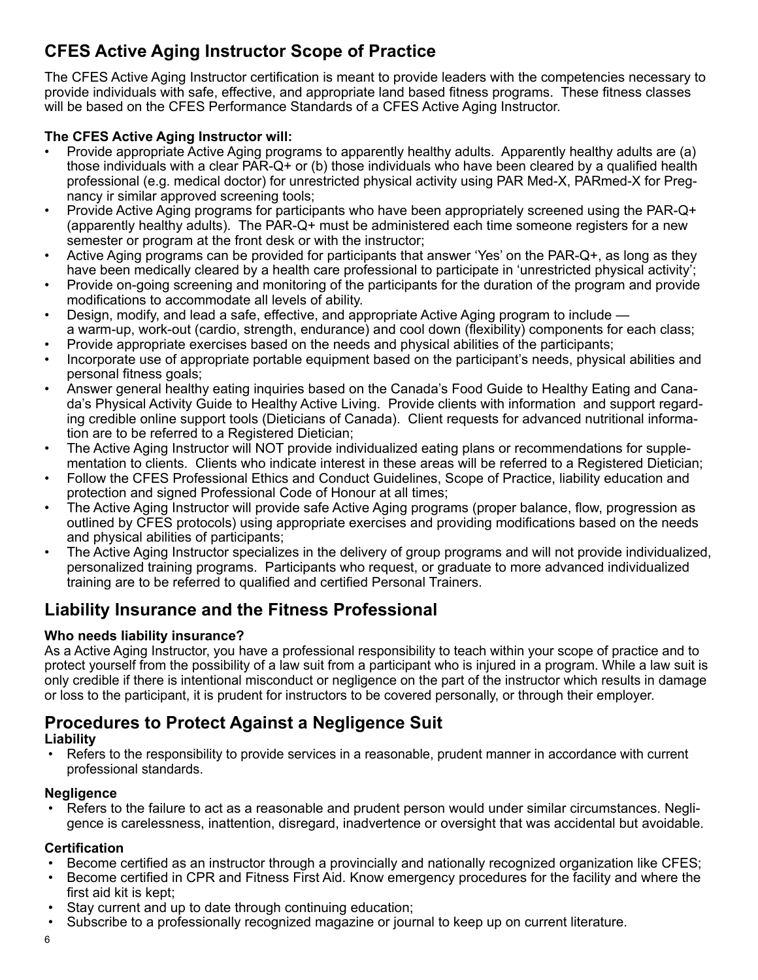## **CFES Active Aging Instructor Scope of Practice**

The CFES Active Aging Instructor certification is meant to provide leaders with the competencies necessary to provide individuals with safe, effective, and appropriate land based fitness programs. These fitness classes will be based on the CFES Performance Standards of a CFES Active Aging Instructor.

### **The CFES Active Aging Instructor will:**

- Provide appropriate Active Aging programs to apparently healthy adults. Apparently healthy adults are (a) those individuals with a clear PAR-Q+ or (b) those individuals who have been cleared by a qualified health professional (e.g. medical doctor) for unrestricted physical activity using PAR Med-X, PARmed-X for Pregnancy ir similar approved screening tools;
- Provide Active Aging programs for participants who have been appropriately screened using the PAR-Q+ (apparently healthy adults). The PAR-Q+ must be administered each time someone registers for a new semester or program at the front desk or with the instructor;
- Active Aging programs can be provided for participants that answer 'Yes' on the PAR-Q+, as long as they have been medically cleared by a health care professional to participate in 'unrestricted physical activity';
- Provide on-going screening and monitoring of the participants for the duration of the program and provide modifications to accommodate all levels of ability.
- Design, modify, and lead a safe, effective, and appropriate Active Aging program to include a warm-up, work-out (cardio, strength, endurance) and cool down (flexibility) components for each class;
- Provide appropriate exercises based on the needs and physical abilities of the participants;
- Incorporate use of appropriate portable equipment based on the participant's needs, physical abilities and personal fitness goals;
- Answer general healthy eating inquiries based on the Canada's Food Guide to Healthy Eating and Canada's Physical Activity Guide to Healthy Active Living. Provide clients with information and support regarding credible online support tools (Dieticians of Canada). Client requests for advanced nutritional information are to be referred to a Registered Dietician;
- The Active Aging Instructor will NOT provide individualized eating plans or recommendations for supplementation to clients. Clients who indicate interest in these areas will be referred to a Registered Dietician;
- Follow the CFES Professional Ethics and Conduct Guidelines, Scope of Practice, liability education and protection and signed Professional Code of Honour at all times;
- The Active Aging Instructor will provide safe Active Aging programs (proper balance, flow, progression as outlined by CFES protocols) using appropriate exercises and providing modifications based on the needs and physical abilities of participants;
- The Active Aging Instructor specializes in the delivery of group programs and will not provide individualized, personalized training programs. Participants who request, or graduate to more advanced individualized training are to be referred to qualified and certified Personal Trainers.

## **Liability Insurance and the Fitness Professional**

### **Who needs liability insurance?**

As a Active Aging Instructor, you have a professional responsibility to teach within your scope of practice and to protect yourself from the possibility of a law suit from a participant who is injured in a program. While a law suit is only credible if there is intentional misconduct or negligence on the part of the instructor which results in damage or loss to the participant, it is prudent for instructors to be covered personally, or through their employer.

## **Procedures to Protect Against a Negligence Suit**

#### **Liability**

• Refers to the responsibility to provide services in a reasonable, prudent manner in accordance with current professional standards.

#### **Negligence**

• Refers to the failure to act as a reasonable and prudent person would under similar circumstances. Negligence is carelessness, inattention, disregard, inadvertence or oversight that was accidental but avoidable.

### **Certification**

- Become certified as an instructor through a provincially and nationally recognized organization like CFES;
- Become certified in CPR and Fitness First Aid. Know emergency procedures for the facility and where the first aid kit is kept;
- Stay current and up to date through continuing education:
- Subscribe to a professionally recognized magazine or journal to keep up on current literature.